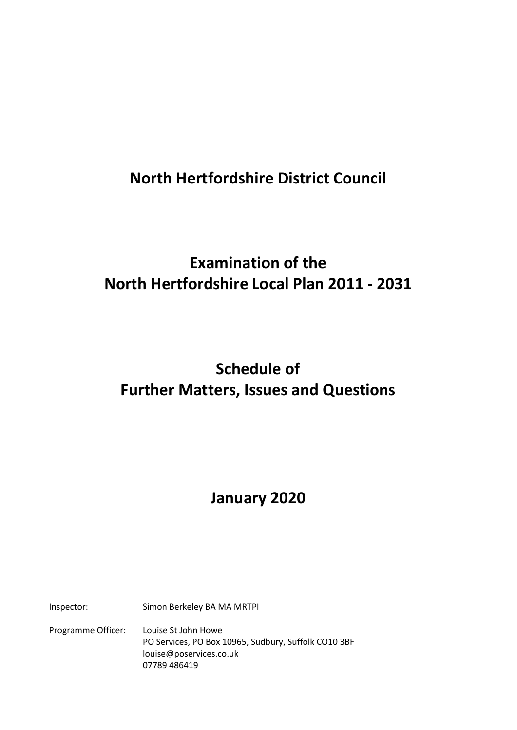## **North Hertfordshire District Council**

## **Examination of the North Hertfordshire Local Plan 2011 - 2031**

# **Schedule of Further Matters, Issues and Questions**

# **January 2020**

Inspector: Simon Berkeley BA MA MRTPI

Programme Officer: Louise St John Howe PO Services, PO Box 10965, Sudbury, Suffolk CO10 3BF louise@poservices.co.uk 07789 486419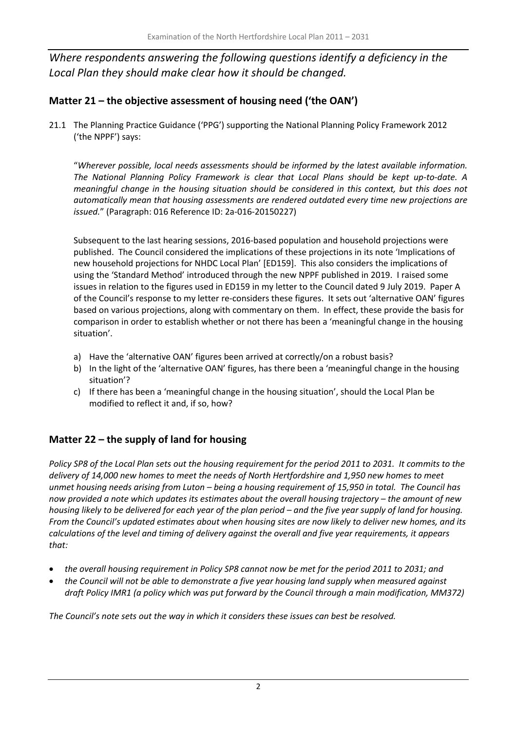*Where respondents answering the following questions identify a deficiency in the Local Plan they should make clear how it should be changed.*

## **Matter 21 – the objective assessment of housing need ('the OAN')**

21.1 The Planning Practice Guidance ('PPG') supporting the National Planning Policy Framework 2012 ('the NPPF') says:

"*Wherever possible, local needs assessments should be informed by the latest available information. The National Planning Policy Framework is clear that Local Plans should be kept up-to-date. A meaningful change in the housing situation should be considered in this context, but this does not automatically mean that housing assessments are rendered outdated every time new projections are issued.*" (Paragraph: 016 Reference ID: 2a-016-20150227)

Subsequent to the last hearing sessions, 2016-based population and household projections were published. The Council considered the implications of these projections in its note 'Implications of new household projections for NHDC Local Plan' [ED159]. This also considers the implications of using the 'Standard Method' introduced through the new NPPF published in 2019. I raised some issues in relation to the figures used in ED159 in my letter to the Council dated 9 July 2019. Paper A of the Council's response to my letter re-considers these figures. It sets out 'alternative OAN' figures based on various projections, along with commentary on them. In effect, these provide the basis for comparison in order to establish whether or not there has been a 'meaningful change in the housing situation'.

- a) Have the 'alternative OAN' figures been arrived at correctly/on a robust basis?
- b) In the light of the 'alternative OAN' figures, has there been a 'meaningful change in the housing situation'?
- c) If there has been a 'meaningful change in the housing situation', should the Local Plan be modified to reflect it and, if so, how?

## **Matter 22 – the supply of land for housing**

*Policy SP8 of the Local Plan sets out the housing requirement for the period 2011 to 2031. It commits to the delivery of 14,000 new homes to meet the needs of North Hertfordshire and 1,950 new homes to meet unmet housing needs arising from Luton – being a housing requirement of 15,950 in total. The Council has now provided a note which updates its estimates about the overall housing trajectory – the amount of new housing likely to be delivered for each year of the plan period – and the five year supply of land for housing. From the Council's updated estimates about when housing sites are now likely to deliver new homes, and its calculations of the level and timing of delivery against the overall and five year requirements, it appears that:*

- *the overall housing requirement in Policy SP8 cannot now be met for the period 2011 to 2031; and*
- *the Council will not be able to demonstrate a five year housing land supply when measured against draft Policy IMR1 (a policy which was put forward by the Council through a main modification, MM372)*

*The Council's note sets out the way in which it considers these issues can best be resolved.*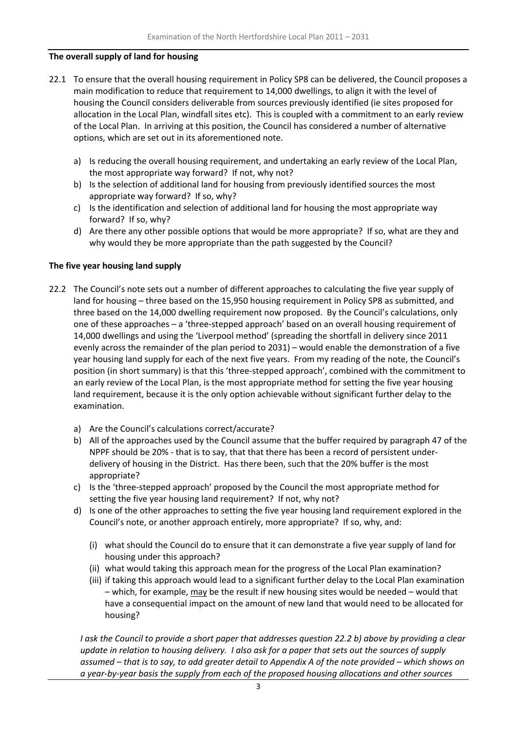#### **The overall supply of land for housing**

- 22.1 To ensure that the overall housing requirement in Policy SP8 can be delivered, the Council proposes a main modification to reduce that requirement to 14,000 dwellings, to align it with the level of housing the Council considers deliverable from sources previously identified (ie sites proposed for allocation in the Local Plan, windfall sites etc). This is coupled with a commitment to an early review of the Local Plan. In arriving at this position, the Council has considered a number of alternative options, which are set out in its aforementioned note.
	- a) Is reducing the overall housing requirement, and undertaking an early review of the Local Plan, the most appropriate way forward? If not, why not?
	- b) Is the selection of additional land for housing from previously identified sources the most appropriate way forward? If so, why?
	- c) Is the identification and selection of additional land for housing the most appropriate way forward? If so, why?
	- d) Are there any other possible options that would be more appropriate? If so, what are they and why would they be more appropriate than the path suggested by the Council?

#### **The five year housing land supply**

- 22.2 The Council's note sets out a number of different approaches to calculating the five year supply of land for housing – three based on the 15,950 housing requirement in Policy SP8 as submitted, and three based on the 14,000 dwelling requirement now proposed. By the Council's calculations, only one of these approaches – a 'three-stepped approach' based on an overall housing requirement of 14,000 dwellings and using the 'Liverpool method' (spreading the shortfall in delivery since 2011 evenly across the remainder of the plan period to 2031) – would enable the demonstration of a five year housing land supply for each of the next five years. From my reading of the note, the Council's position (in short summary) is that this 'three-stepped approach', combined with the commitment to an early review of the Local Plan, is the most appropriate method for setting the five year housing land requirement, because it is the only option achievable without significant further delay to the examination.
	- a) Are the Council's calculations correct/accurate?
	- b) All of the approaches used by the Council assume that the buffer required by paragraph 47 of the NPPF should be 20% - that is to say, that that there has been a record of persistent underdelivery of housing in the District. Has there been, such that the 20% buffer is the most appropriate?
	- c) Is the 'three-stepped approach' proposed by the Council the most appropriate method for setting the five year housing land requirement? If not, why not?
	- d) Is one of the other approaches to setting the five year housing land requirement explored in the Council's note, or another approach entirely, more appropriate? If so, why, and:
		- (i) what should the Council do to ensure that it can demonstrate a five year supply of land for housing under this approach?
		- (ii) what would taking this approach mean for the progress of the Local Plan examination?
		- (iii) if taking this approach would lead to a significant further delay to the Local Plan examination – which, for example, may be the result if new housing sites would be needed – would that have a consequential impact on the amount of new land that would need to be allocated for housing?

*I ask the Council to provide a short paper that addresses question 22.2 b) above by providing a clear update in relation to housing delivery. I also ask for a paper that sets out the sources of supply assumed – that is to say, to add greater detail to Appendix A of the note provided – which shows on a year-by-year basis the supply from each of the proposed housing allocations and other sources*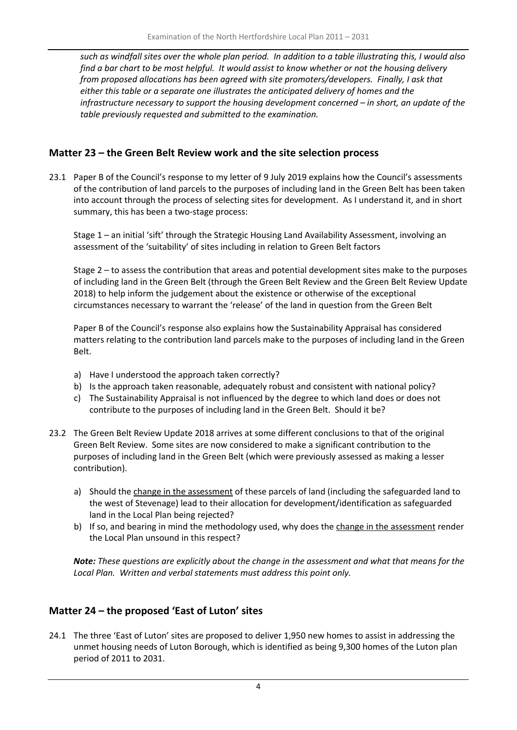*such as windfall sites over the whole plan period. In addition to a table illustrating this, I would also find a bar chart to be most helpful. It would assist to know whether or not the housing delivery from proposed allocations has been agreed with site promoters/developers. Finally, I ask that either this table or a separate one illustrates the anticipated delivery of homes and the infrastructure necessary to support the housing development concerned – in short, an update of the table previously requested and submitted to the examination.* 

### **Matter 23 – the Green Belt Review work and the site selection process**

23.1 Paper B of the Council's response to my letter of 9 July 2019 explains how the Council's assessments of the contribution of land parcels to the purposes of including land in the Green Belt has been taken into account through the process of selecting sites for development. As I understand it, and in short summary, this has been a two-stage process:

Stage 1 – an initial 'sift' through the Strategic Housing Land Availability Assessment, involving an assessment of the 'suitability' of sites including in relation to Green Belt factors

Stage 2 – to assess the contribution that areas and potential development sites make to the purposes of including land in the Green Belt (through the Green Belt Review and the Green Belt Review Update 2018) to help inform the judgement about the existence or otherwise of the exceptional circumstances necessary to warrant the 'release' of the land in question from the Green Belt

Paper B of the Council's response also explains how the Sustainability Appraisal has considered matters relating to the contribution land parcels make to the purposes of including land in the Green Belt.

- a) Have I understood the approach taken correctly?
- b) Is the approach taken reasonable, adequately robust and consistent with national policy?
- c) The Sustainability Appraisal is not influenced by the degree to which land does or does not contribute to the purposes of including land in the Green Belt. Should it be?
- 23.2 The Green Belt Review Update 2018 arrives at some different conclusions to that of the original Green Belt Review. Some sites are now considered to make a significant contribution to the purposes of including land in the Green Belt (which were previously assessed as making a lesser contribution).
	- a) Should the change in the assessment of these parcels of land (including the safeguarded land to the west of Stevenage) lead to their allocation for development/identification as safeguarded land in the Local Plan being rejected?
	- b) If so, and bearing in mind the methodology used, why does the change in the assessment render the Local Plan unsound in this respect?

*Note: These questions are explicitly about the change in the assessment and what that means for the Local Plan. Written and verbal statements must address this point only.* 

## **Matter 24 – the proposed 'East of Luton' sites**

24.1 The three 'East of Luton' sites are proposed to deliver 1,950 new homes to assist in addressing the unmet housing needs of Luton Borough, which is identified as being 9,300 homes of the Luton plan period of 2011 to 2031.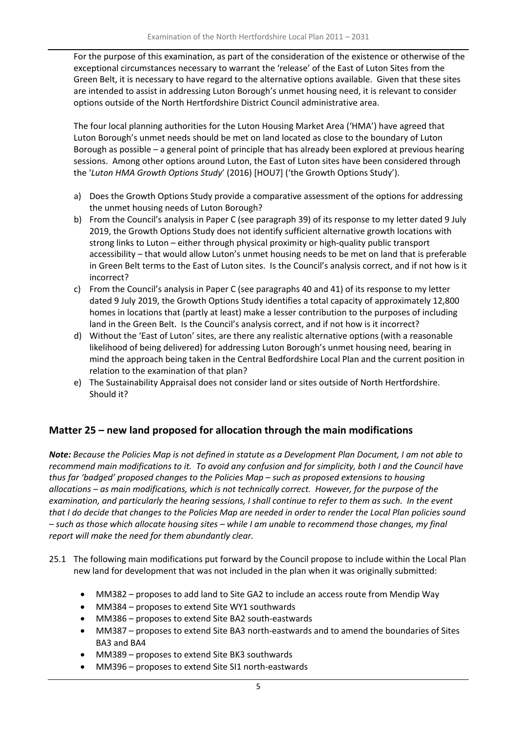For the purpose of this examination, as part of the consideration of the existence or otherwise of the exceptional circumstances necessary to warrant the 'release' of the East of Luton Sites from the Green Belt, it is necessary to have regard to the alternative options available. Given that these sites are intended to assist in addressing Luton Borough's unmet housing need, it is relevant to consider options outside of the North Hertfordshire District Council administrative area.

The four local planning authorities for the Luton Housing Market Area ('HMA') have agreed that Luton Borough's unmet needs should be met on land located as close to the boundary of Luton Borough as possible – a general point of principle that has already been explored at previous hearing sessions. Among other options around Luton, the East of Luton sites have been considered through the '*Luton HMA Growth Options Study*' (2016) [HOU7] ('the Growth Options Study').

- a) Does the Growth Options Study provide a comparative assessment of the options for addressing the unmet housing needs of Luton Borough?
- b) From the Council's analysis in Paper C (see paragraph 39) of its response to my letter dated 9 July 2019, the Growth Options Study does not identify sufficient alternative growth locations with strong links to Luton – either through physical proximity or high-quality public transport accessibility – that would allow Luton's unmet housing needs to be met on land that is preferable in Green Belt terms to the East of Luton sites. Is the Council's analysis correct, and if not how is it incorrect?
- c) From the Council's analysis in Paper C (see paragraphs 40 and 41) of its response to my letter dated 9 July 2019, the Growth Options Study identifies a total capacity of approximately 12,800 homes in locations that (partly at least) make a lesser contribution to the purposes of including land in the Green Belt. Is the Council's analysis correct, and if not how is it incorrect?
- d) Without the 'East of Luton' sites, are there any realistic alternative options (with a reasonable likelihood of being delivered) for addressing Luton Borough's unmet housing need, bearing in mind the approach being taken in the Central Bedfordshire Local Plan and the current position in relation to the examination of that plan?
- e) The Sustainability Appraisal does not consider land or sites outside of North Hertfordshire. Should it?

## **Matter 25 – new land proposed for allocation through the main modifications**

*Note: Because the Policies Map is not defined in statute as a Development Plan Document, I am not able to recommend main modifications to it. To avoid any confusion and for simplicity, both I and the Council have thus far 'badged' proposed changes to the Policies Map – such as proposed extensions to housing allocations – as main modifications, which is not technically correct. However, for the purpose of the examination, and particularly the hearing sessions, I shall continue to refer to them as such. In the event that I do decide that changes to the Policies Map are needed in order to render the Local Plan policies sound – such as those which allocate housing sites – while I am unable to recommend those changes, my final report will make the need for them abundantly clear.* 

- 25.1 The following main modifications put forward by the Council propose to include within the Local Plan new land for development that was not included in the plan when it was originally submitted:
	- MM382 proposes to add land to Site GA2 to include an access route from Mendip Way
	- MM384 proposes to extend Site WY1 southwards
	- MM386 proposes to extend Site BA2 south-eastwards
	- MM387 proposes to extend Site BA3 north-eastwards and to amend the boundaries of Sites BA3 and BA4
	- MM389 proposes to extend Site BK3 southwards
	- MM396 proposes to extend Site SI1 north-eastwards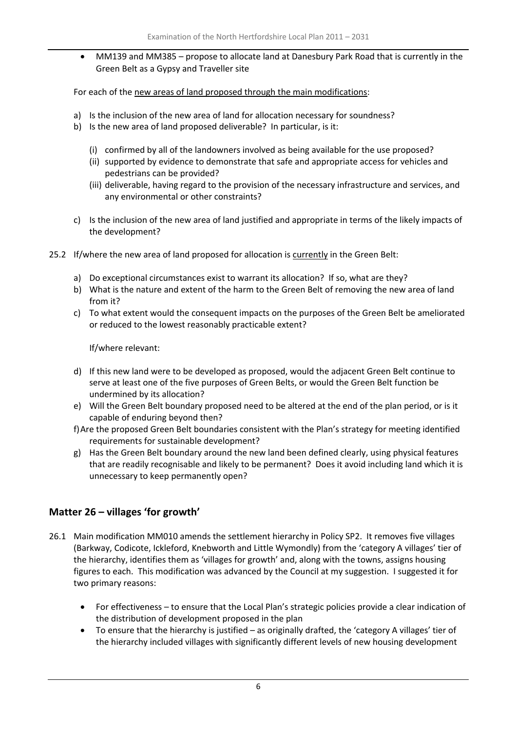• MM139 and MM385 – propose to allocate land at Danesbury Park Road that is currently in the Green Belt as a Gypsy and Traveller site

For each of the new areas of land proposed through the main modifications:

- a) Is the inclusion of the new area of land for allocation necessary for soundness?
- b) Is the new area of land proposed deliverable? In particular, is it:
	- (i) confirmed by all of the landowners involved as being available for the use proposed?
	- (ii) supported by evidence to demonstrate that safe and appropriate access for vehicles and pedestrians can be provided?
	- (iii) deliverable, having regard to the provision of the necessary infrastructure and services, and any environmental or other constraints?
- c) Is the inclusion of the new area of land justified and appropriate in terms of the likely impacts of the development?
- 25.2 If/where the new area of land proposed for allocation is currently in the Green Belt:
	- a) Do exceptional circumstances exist to warrant its allocation? If so, what are they?
	- b) What is the nature and extent of the harm to the Green Belt of removing the new area of land from it?
	- c) To what extent would the consequent impacts on the purposes of the Green Belt be ameliorated or reduced to the lowest reasonably practicable extent?

If/where relevant:

- d) If this new land were to be developed as proposed, would the adjacent Green Belt continue to serve at least one of the five purposes of Green Belts, or would the Green Belt function be undermined by its allocation?
- e) Will the Green Belt boundary proposed need to be altered at the end of the plan period, or is it capable of enduring beyond then?
- f)Are the proposed Green Belt boundaries consistent with the Plan's strategy for meeting identified requirements for sustainable development?
- g) Has the Green Belt boundary around the new land been defined clearly, using physical features that are readily recognisable and likely to be permanent? Does it avoid including land which it is unnecessary to keep permanently open?

### **Matter 26 – villages 'for growth'**

- 26.1 Main modification MM010 amends the settlement hierarchy in Policy SP2. It removes five villages (Barkway, Codicote, Ickleford, Knebworth and Little Wymondly) from the 'category A villages' tier of the hierarchy, identifies them as 'villages for growth' and, along with the towns, assigns housing figures to each. This modification was advanced by the Council at my suggestion. I suggested it for two primary reasons:
	- For effectiveness to ensure that the Local Plan's strategic policies provide a clear indication of the distribution of development proposed in the plan
	- To ensure that the hierarchy is justified as originally drafted, the 'category A villages' tier of the hierarchy included villages with significantly different levels of new housing development